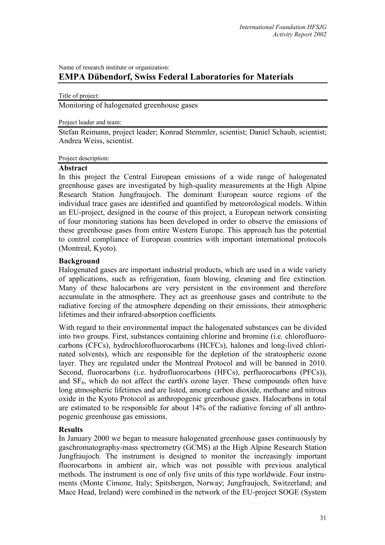# Name of research institute or organization: **EMPA Dübendorf, Swiss Federal Laboratories for Materials**

#### Title of project:

Monitoring of halogenated greenhouse gases

### Project leader and team:

Stefan Reimann, project leader; Konrad Stemmler, scientist; Daniel Schaub, scientist; Andrea Weiss, scientist.

### Project description:

## **Abstract**

In this project the Central European emissions of a wide range of halogenated greenhouse gases are investigated by high-quality measurements at the High Alpine Research Station Jungfraujoch. The dominant European source regions of the individual trace gases are identified and quantified by meteorological models. Within an EU-project, designed in the course of this project, a European network consisting of four monitoring stations has been developed in order to observe the emissions of these greenhouse gases from entire Western Europe. This approach has the potential to control compliance of European countries with important international protocols (Montreal, Kyoto).

### **Background**

Halogenated gases are important industrial products, which are used in a wide variety of applications, such as refrigeration, foam blowing, cleaning and fire extinction. Many of these halocarbons are very persistent in the environment and therefore accumulate in the atmosphere. They act as greenhouse gases and contribute to the radiative forcing of the atmosphere depending on their emissions, their atmospheric lifetimes and their infrared-absorption coefficients*.* 

With regard to their environmental impact the halogenated substances can be divided into two groups. First, substances containing chlorine and bromine (i.e. chlorofluorocarbons (CFCs), hydrochlorofluorocarbons (HCFCs), halones and long-lived chlorinated solvents), which are responsible for the depletion of the stratospheric ozone layer. They are regulated under the Montreal Protocol and will be banned in 2010. Second, fluorocarbons (i.e. hydrofluorocarbons (HFCs), perfluorocarbons (PFCs)), and SF6, which do not affect the earth's ozone layer. These compounds often have long atmospheric lifetimes and are listed, among carbon dioxide, methane and nitrous oxide in the Kyoto Protocol as anthropogenic greenhouse gases. Halocarbons in total are estimated to be responsible for about 14% of the radiative forcing of all anthropogenic greenhouse gas emissions.

### **Results**

In January 2000 we began to measure halogenated greenhouse gases continuously by gaschromatography-mass spectrometry (GCMS) at the High Alpine Research Station Jungfraujoch. The instrument is designed to monitor the increasingly important fluorocarbons in ambient air, which was not possible with previous analytical methods. The instrument is one of only five units of this type worldwide. Four instruments (Monte Cimone, Italy; Spitsbergen, Norway; Jungfraujoch, Switzerland; and Mace Head, Ireland) were combined in the network of the EU-project SOGE (System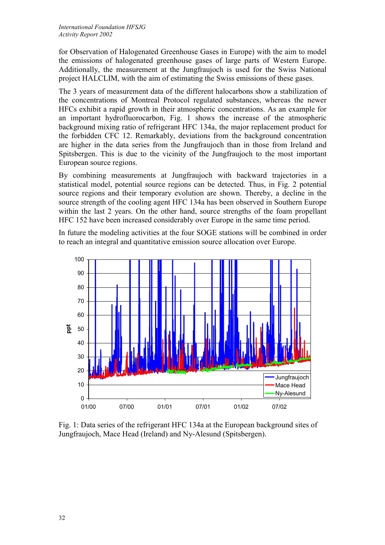for Observation of Halogenated Greenhouse Gases in Europe) with the aim to model the emissions of halogenated greenhouse gases of large parts of Western Europe. Additionally, the measurement at the Jungfraujoch is used for the Swiss National project HALCLIM, with the aim of estimating the Swiss emissions of these gases.

The 3 years of measurement data of the different halocarbons show a stabilization of the concentrations of Montreal Protocol regulated substances, whereas the newer HFCs exhibit a rapid growth in their atmospheric concentrations. As an example for an important hydrofluorocarbon, Fig. 1 shows the increase of the atmospheric background mixing ratio of refrigerant HFC 134a, the major replacement product for the forbidden CFC 12. Remarkably, deviations from the background concentration are higher in the data series from the Jungfraujoch than in those from Ireland and Spitsbergen. This is due to the vicinity of the Jungfraujoch to the most important European source regions.

By combining measurements at Jungfraujoch with backward trajectories in a statistical model, potential source regions can be detected. Thus, in Fig. 2 potential source regions and their temporary evolution are shown. Thereby, a decline in the source strength of the cooling agent HFC 134a has been observed in Southern Europe within the last 2 years. On the other hand, source strengths of the foam propellant HFC 152 have been increased considerably over Europe in the same time period.

In future the modeling activities at the four SOGE stations will be combined in order to reach an integral and quantitative emission source allocation over Europe.



Fig. 1: Data series of the refrigerant HFC 134a at the European background sites of Jungfraujoch, Mace Head (Ireland) and Ny-Alesund (Spitsbergen).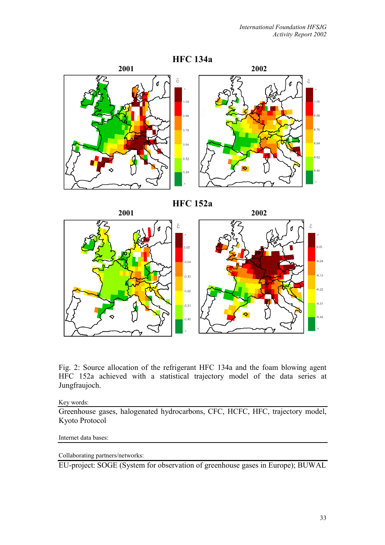

Fig. 2: Source allocation of the refrigerant HFC 134a and the foam blowing agent HFC 152a achieved with a statistical trajectory model of the data series at Jungfraujoch.

Key words:

Greenhouse gases, halogenated hydrocarbons, CFC, HCFC, HFC, trajectory model, Kyoto Protocol

#### Internet data bases:

Collaborating partners/networks:

EU-project: SOGE (System for observation of greenhouse gases in Europe); BUWAL